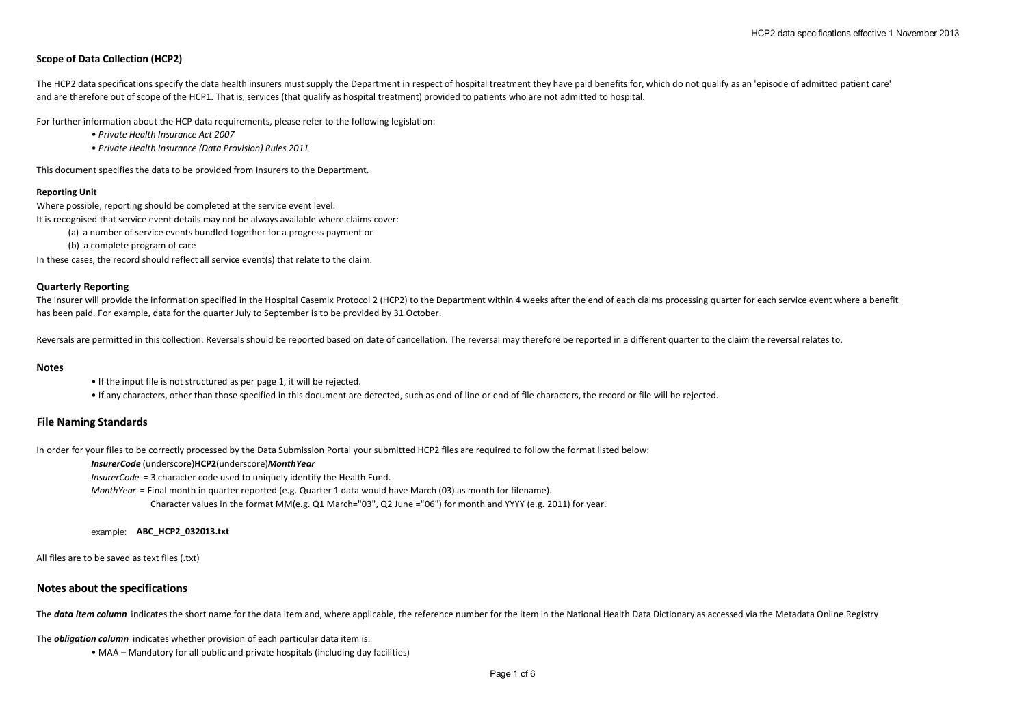# **Scope of Data Collection (HCP2)**

The HCP2 data specifications specify the data health insurers must supply the Department in respect of hospital treatment they have paid benefits for, which do not qualify as an 'episode of admitted patient care' and are therefore out of scope of the HCP1. That is, services (that qualify as hospital treatment) provided to patients who are not admitted to hospital.

For further information about the HCP data requirements, please refer to the following legislation:

- *Private Health Insurance Act 2007*
- *Private Health Insurance (Data Provision) Rules 2011*

This document specifies the data to be provided from Insurers to the Department.

### **Reporting Unit**

Where possible, reporting should be completed at the service event level.

It is recognised that service event details may not be always available where claims cover:

- (a) a number of service events bundled together for a progress payment or
- (b) a complete program of care

In these cases, the record should reflect all service event(s) that relate to the claim.

## **Quarterly Reporting**

The insurer will provide the information specified in the Hospital Casemix Protocol 2 (HCP2) to the Department within 4 weeks after the end of each claims processing quarter for each service event where a benefit has been paid. For example, data for the quarter July to September is to be provided by 31 October.

Reversals are permitted in this collection. Reversals should be reported based on date of cancellation. The reversal may therefore be reported in a different quarter to the claim the reversal relates to.

### **Notes**

- If the input file is not structured as per page 1, it will be rejected.
- If any characters, other than those specified in this document are detected, such as end of line or end of file characters, the record or file will be rejected.

## **File Naming Standards**

In order for your files to be correctly processed by the Data Submission Portal your submitted HCP2 files are required to follow the format listed below:

## *InsurerCode* (underscore)**HCP2**(underscore)*MonthYear*

*InsurerCode* = 3 character code used to uniquely identify the Health Fund.

*MonthYear* = Final month in quarter reported (e.g. Quarter 1 data would have March (03) as month for filename).

Character values in the format MM(e.g. Q1 March="03", Q2 June ="06") for month and YYYY (e.g. 2011) for year.

### example: **ABC\_HCP2\_032013.txt**

All files are to be saved as text files (.txt)

## **Notes about the specifications**

The **data item column** indicates the short name for the data item and, where applicable, the reference number for the item in the National Health Data Dictionary as accessed via the Metadata Online Registry

The *obligation column* indicates whether provision of each particular data item is:

• MAA – Mandatory for all public and private hospitals (including day facilities)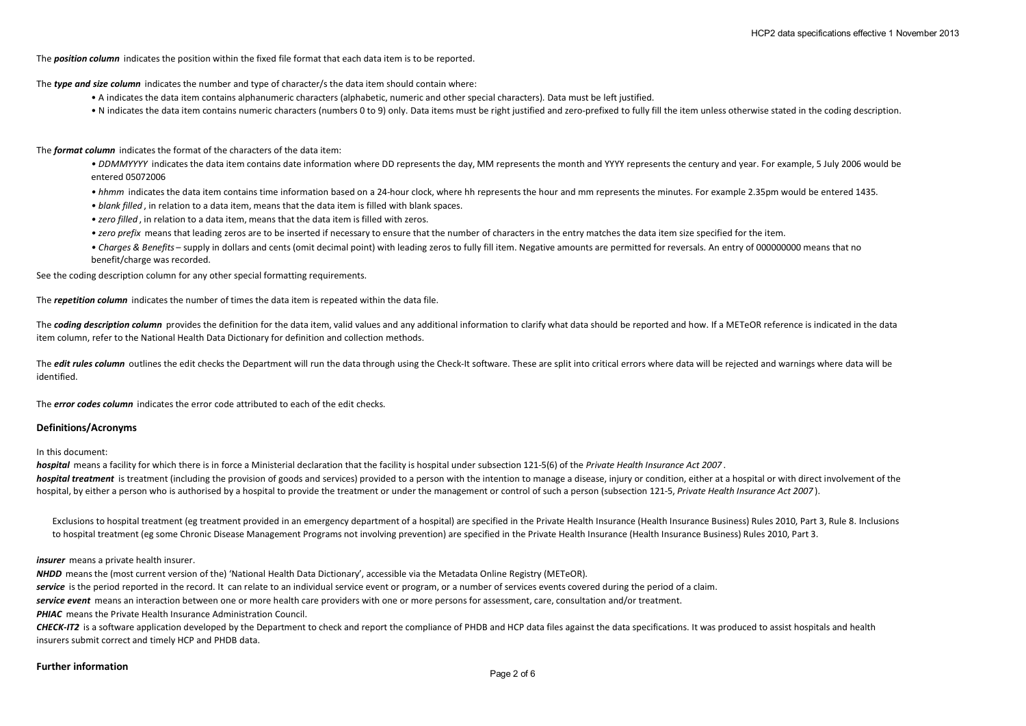The *position column* indicates the position within the fixed file format that each data item is to be reported.

The *type and size column* indicates the number and type of character/s the data item should contain where:

- A indicates the data item contains alphanumeric characters (alphabetic, numeric and other special characters). Data must be left justified.
- N indicates the data item contains numeric characters (numbers 0 to 9) only. Data items must be right justified and zero-prefixed to fully fill the item unless otherwise stated in the coding description.

### The *format column* indicates the format of the characters of the data item:

- DDMMYYYY indicates the data item contains date information where DD represents the day, MM represents the month and YYYY represents the century and year. For example, 5 July 2006 would be entered 05072006
- *hhmm* indicates the data item contains time information based on a 24-hour clock, where hh represents the hour and mm represents the minutes. For example 2.35pm would be entered 1435.
- *blank filled* , in relation to a data item, means that the data item is filled with blank spaces.
- *zero filled* , in relation to a data item, means that the data item is filled with zeros.
- *zero prefix* means that leading zeros are to be inserted if necessary to ensure that the number of characters in the entry matches the data item size specified for the item.
- *Charges & Benefits* supply in dollars and cents (omit decimal point) with leading zeros to fully fill item. Negative amounts are permitted for reversals. An entry of 000000000 means that no benefit/charge was recorded.

See the coding description column for any other special formatting requirements.

The *repetition column* indicates the number of times the data item is repeated within the data file.

The **coding description column** provides the definition for the data item, valid values and any additional information to clarify what data should be reported and how. If a METeOR reference is indicated in the data item column, refer to the National Health Data Dictionary for definition and collection methods.

The **edit rules column** outlines the edit checks the Department will run the data through using the Check-It software. These are split into critical errors where data will be rejected and warnings where data will be identified.

The *error codes column* indicates the error code attributed to each of the edit checks.

## **Definitions/Acronyms**

### In this document:

*hospital* means a facility for which there is in force a Ministerial declaration that the facility is hospital under subsection 121-5(6) of the *Private Health Insurance Act 2007* .

*hospital treatment* is treatment (including the provision of goods and services) provided to a person with the intention to manage a disease, injury or condition, either at a hospital or with direct involvement of the hospital, by either a person who is authorised by a hospital to provide the treatment or under the management or control of such a person (subsection 121-5, *Private Health Insurance Act 2007* ).

Exclusions to hospital treatment (eg treatment provided in an emergency department of a hospital) are specified in the Private Health Insurance (Health Insurance Business) Rules 2010, Part 3, Rule 8. Inclusions to hospital treatment (eg some Chronic Disease Management Programs not involving prevention) are specified in the Private Health Insurance (Health Insurance Business) Rules 2010, Part 3.

### *insurer* means a private health insurer.

*NHDD* means the (most current version of the) 'National Health Data Dictionary', accessible via the Metadata Online Registry (METeOR).

**service** is the period reported in the record. It can relate to an individual service event or program, or a number of services events covered during the period of a claim.

*service event* means an interaction between one or more health care providers with one or more persons for assessment, care, consultation and/or treatment.

**PHIAC** means the Private Health Insurance Administration Council.

**CHECK-IT2** is a software application developed by the Department to check and report the compliance of PHDB and HCP data files against the data specifications. It was produced to assist hospitals and health insurers submit correct and timely HCP and PHDB data.

#### **Further information**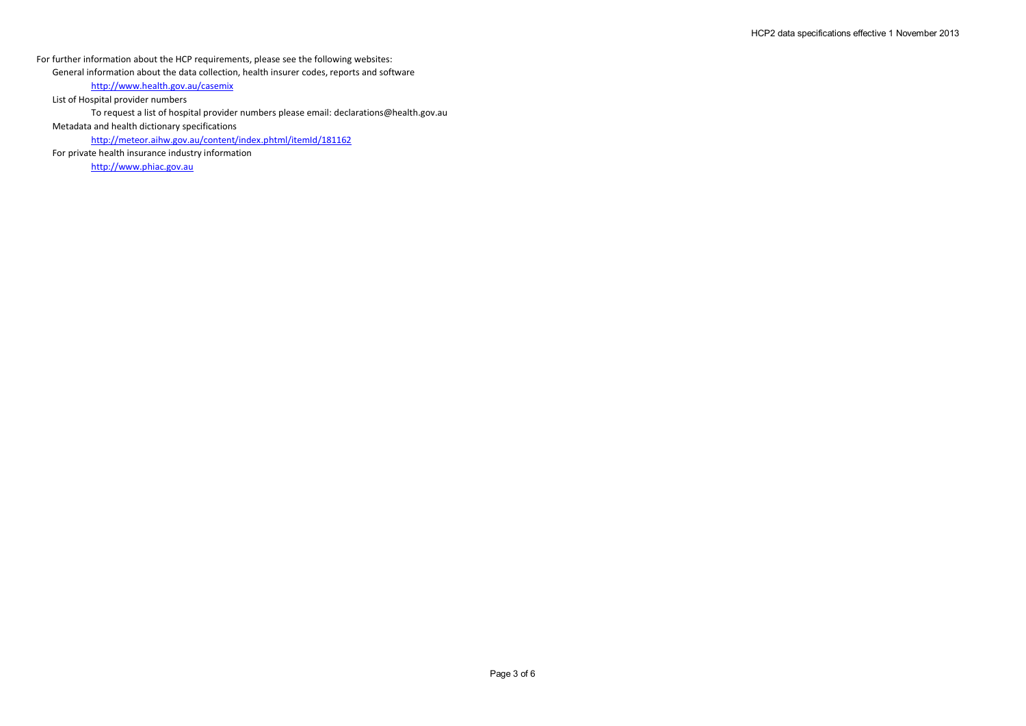For further information about the HCP requirements, please see the following websites:

General information about the data collection, health insurer codes, reports and software

http://www.health.gov.au/casemix

List of Hospital provider numbers

To request a list of hospital provider numbers please email: declarations@health.gov.au

Metadata and health dictionary specifications

http://meteor.aihw.gov.au/content/index.phtml/itemId/181162

For private health insurance industry information

http://www.phiac.gov.au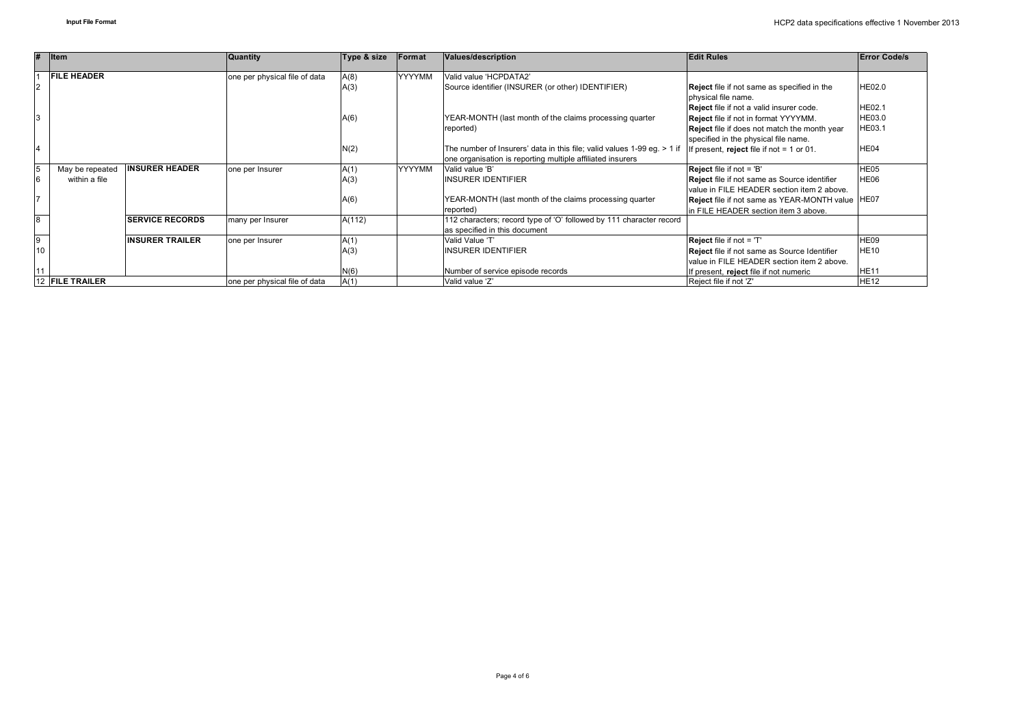| #               | <b>I</b> tem       |                        | Quantity                      | Type & size           | Format        | Values/description                                                      | <b>Edit Rules</b>                                                  | <b>Error Code/s</b> |
|-----------------|--------------------|------------------------|-------------------------------|-----------------------|---------------|-------------------------------------------------------------------------|--------------------------------------------------------------------|---------------------|
|                 | <b>FILE HEADER</b> |                        | one per physical file of data | <b>YYYYMM</b><br>A(8) |               | Valid value 'HCPDATA2'                                                  |                                                                    |                     |
| $\overline{2}$  |                    |                        |                               | A(3)                  |               | Source identifier (INSURER (or other) IDENTIFIER)                       | Reject file if not same as specified in the<br>physical file name. | <b>HE02.0</b>       |
|                 |                    |                        |                               |                       |               |                                                                         | Reject file if not a valid insurer code.                           | <b>HE02.1</b>       |
| 3               |                    |                        |                               | A(6)                  |               | YEAR-MONTH (last month of the claims processing quarter                 | <b>Reject</b> file if not in format YYYYMM.                        | <b>HE03.0</b>       |
|                 |                    |                        |                               |                       |               | reported)                                                               | Reject file if does not match the month year                       | HE03.1              |
|                 |                    |                        |                               |                       |               |                                                                         | specified in the physical file name.                               |                     |
| 14              |                    |                        |                               | N(2)                  |               | The number of Insurers' data in this file; valid values 1-99 eg. > 1 if | If present, reject file if not = 1 or 01.                          | HE04                |
|                 |                    |                        |                               |                       |               | one organisation is reporting multiple affiliated insurers              |                                                                    |                     |
| 15              | May be repeated    | <b>INSURER HEADER</b>  | one per Insurer               | A(1)                  | <b>YYYYMM</b> | Valid value 'B'                                                         | Reject file if not = 'B'                                           | HE05                |
| 6               | within a file      |                        |                               | A(3)                  |               | <b>INSURER IDENTIFIER</b>                                               | Reject file if not same as Source identifier                       | HE06                |
|                 |                    |                        |                               |                       |               |                                                                         | value in FILE HEADER section item 2 above.                         |                     |
|                 |                    |                        |                               | A(6)                  |               | YEAR-MONTH (last month of the claims processing quarter                 | Reject file if not same as YEAR-MONTH value HE07                   |                     |
|                 |                    |                        |                               |                       |               | reported)                                                               | In FILE HEADER section item 3 above.                               |                     |
| 8               |                    | <b>SERVICE RECORDS</b> | many per Insurer              | A(112)                |               | 112 characters; record type of 'O' followed by 111 character record     |                                                                    |                     |
|                 |                    |                        |                               |                       |               | as specified in this document                                           |                                                                    |                     |
| $\overline{9}$  |                    | <b>INSURER TRAILER</b> | one per Insurer               | A(1)                  |               | Valid Value 'T'                                                         | Reject file if not = 'T'                                           | HE09                |
| 10              |                    |                        |                               | A(3)                  |               | <b>INSURER IDENTIFIER</b>                                               | Reject file if not same as Source Identifier                       | <b>HE10</b>         |
|                 |                    |                        |                               |                       |               |                                                                         | value in FILE HEADER section item 2 above.                         |                     |
|                 |                    |                        |                               | N(6)                  |               | Number of service episode records                                       | If present, reject file if not numeric                             | HE <sub>11</sub>    |
| 12 FILE TRAILER |                    |                        | one per physical file of data | A(1)                  |               | Valid value 'Z'                                                         | Reject file if not 'Z'                                             | <b>HE12</b>         |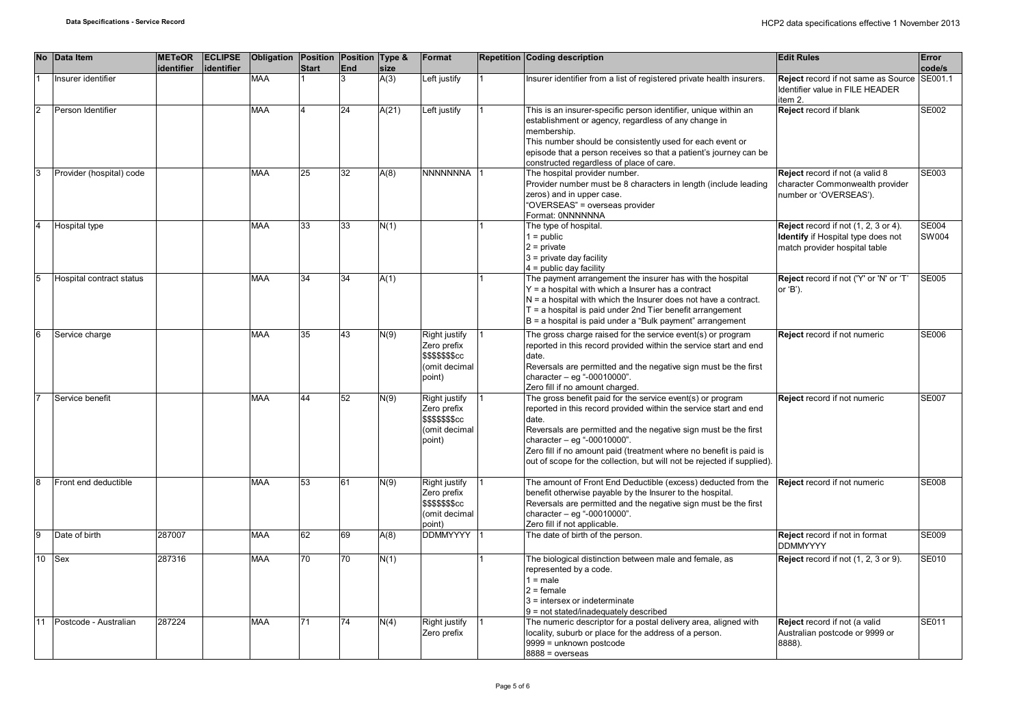| <b>No</b>               | Data Item                | <b>METeOR</b><br>identifier | <b>ECLIPSE</b><br>lidentifier | Obligation Position Position Type & | <b>Start</b> | <b>End</b> | size  | Format                                                                                    | <b>Repetition Coding description</b>                                                                                                                                                                                                                                                                                                                                                        | <b>Edit Rules</b>                                                                                           | Error<br>code/s       |
|-------------------------|--------------------------|-----------------------------|-------------------------------|-------------------------------------|--------------|------------|-------|-------------------------------------------------------------------------------------------|---------------------------------------------------------------------------------------------------------------------------------------------------------------------------------------------------------------------------------------------------------------------------------------------------------------------------------------------------------------------------------------------|-------------------------------------------------------------------------------------------------------------|-----------------------|
|                         | Insurer identifier       |                             |                               | <b>MAA</b>                          |              | 3          | A(3)  | Left justify                                                                              | Insurer identifier from a list of registered private health insurers.                                                                                                                                                                                                                                                                                                                       | <b>Reject</b> record if not same as Source<br>Identifier value in FILE HEADER<br>item 2.                    | SE001.1               |
| l2                      | Person Identifier        |                             |                               | <b>MAA</b>                          |              | 24         | A(21) | Left justify                                                                              | This is an insurer-specific person identifier, unique within an<br>establishment or agency, regardless of any change in<br>membership.<br>This number should be consistently used for each event or<br>episode that a person receives so that a patient's journey can be<br>constructed regardless of place of care.                                                                        | Reject record if blank                                                                                      | SE002                 |
| 3                       | Provider (hospital) code |                             |                               | <b>MAA</b>                          | 25           | 32         | A(8)  | NNNNNNNA                                                                                  | The hospital provider number.<br>Provider number must be 8 characters in length (include leading<br>zeros) and in upper case.<br>"OVERSEAS" = overseas provider<br>Format: 0NNNNNNA                                                                                                                                                                                                         | Reject record if not (a valid 8<br>character Commonwealth provider<br>number or 'OVERSEAS').                | SE003                 |
| $\overline{\mathbf{A}}$ | Hospital type            |                             |                               | <b>MAA</b>                          | 33           | 33         | N(1)  |                                                                                           | The type of hospital.<br>$1 = \text{public}$<br>$2 = private$<br>$3$ = private day facility<br>$4 =$ public day facility                                                                                                                                                                                                                                                                    | Reject record if not (1, 2, 3 or 4).<br>Identify if Hospital type does not<br>match provider hospital table | <b>SE004</b><br>SW004 |
|                         | Hospital contract status |                             |                               | <b>MAA</b>                          | 34           | 34         | A(1)  |                                                                                           | The payment arrangement the insurer has with the hospital<br>$Y = a$ hospital with which a lnsurer has a contract<br>$N = a$ hospital with which the Insurer does not have a contract.<br>$T = a$ hospital is paid under 2nd Tier benefit arrangement<br>$B = a$ hospital is paid under a "Bulk payment" arrangement                                                                        | Reject record if not ('Y' or 'N' or 'T'<br>or 'B').                                                         | <b>SE005</b>          |
|                         | Service charge           |                             |                               | <b>MAA</b>                          | 35           | 43         | N(9)  | <b>Right justify</b><br>Zero prefix<br><b>\$\$\$\$\$\$\$cc</b><br>(omit decimal<br>point) | The gross charge raised for the service event(s) or program<br>reported in this record provided within the service start and end<br>date.<br>Reversals are permitted and the negative sign must be the first<br>character $-$ eg "-00010000".<br>Zero fill if no amount charged.                                                                                                            | Reject record if not numeric                                                                                | <b>SE006</b>          |
|                         | Service benefit          |                             |                               | <b>MAA</b>                          | 44           | 52         | N(9)  | Right justify<br>Zero prefix<br><b>\$\$\$\$\$\$\$cc</b><br>(omit decimal<br>point)        | The gross benefit paid for the service event(s) or program<br>reported in this record provided within the service start and end<br>date.<br>Reversals are permitted and the negative sign must be the first<br>character - eq "-00010000".<br>Zero fill if no amount paid (treatment where no benefit is paid is<br>out of scope for the collection, but will not be rejected if supplied). | Reject record if not numeric                                                                                | <b>SE007</b>          |
|                         | Front end deductible     |                             |                               | <b>MAA</b>                          | 53           | 61         | N(9)  | <b>Right justify</b><br>Zero prefix<br><b>\$\$\$\$\$\$\$cc</b><br>(omit decimal<br>point) | The amount of Front End Deductible (excess) deducted from the<br>benefit otherwise payable by the Insurer to the hospital.<br>Reversals are permitted and the negative sign must be the first<br>character $-$ eg "-00010000".<br>Zero fill if not applicable.                                                                                                                              | Reject record if not numeric                                                                                | <b>SE008</b>          |
| l9                      | Date of birth            | 287007                      |                               | <b>MAA</b>                          | 62           | 69         | A(8)  | <b>DDMMYYYY</b>                                                                           | The date of birth of the person.                                                                                                                                                                                                                                                                                                                                                            | Reject record if not in format<br><b>DDMMYYYY</b>                                                           | <b>SE009</b>          |
| 10                      | Sex                      | 287316                      |                               | <b>MAA</b>                          | 70           | 70         | N(1)  |                                                                                           | The biological distinction between male and female, as<br>represented by a code.<br>$1 = male$<br>$2 =$ female<br>3 = intersex or indeterminate<br>9 = not stated/inadequately described                                                                                                                                                                                                    | Reject record if not (1, 2, 3 or 9).                                                                        | SE010                 |
|                         | Postcode - Australian    | 287224                      |                               | <b>MAA</b>                          | 71           | 74         | N(4)  | Right justify<br>Zero prefix                                                              | The numeric descriptor for a postal delivery area, aligned with<br>locality, suburb or place for the address of a person.<br>9999 = unknown postcode<br>$8888 = 0$ verseas                                                                                                                                                                                                                  | Reject record if not (a valid<br>Australian postcode or 9999 or<br>8888).                                   | SE011                 |